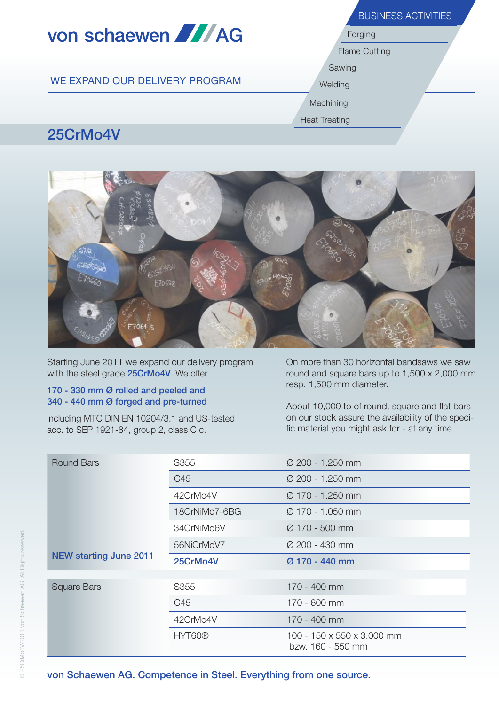|                                | <b>BUSINESS ACTIVITIES</b><br>Forging |  |  |  |
|--------------------------------|---------------------------------------|--|--|--|
| von schaewen <b>AN</b> AG      |                                       |  |  |  |
|                                | <b>Flame Cutting</b>                  |  |  |  |
|                                | Sawing                                |  |  |  |
| WE EXPAND OUR DELIVERY PROGRAM | Welding                               |  |  |  |
|                                | Machining                             |  |  |  |
|                                | <b>Heat Treating</b>                  |  |  |  |
| 25CrMo4V                       |                                       |  |  |  |

## 25CrMo4V



Starting June 2011 we expand our delivery program with the steel grade 25CrMo4V. We offer

## 170 - 330 mm Ø rolled and peeled and 340 - 440 mm Ø forged and pre-turned

including MTC DIN EN 10204/3.1 and US-tested acc. to SEP 1921-84, group 2, class C c.

On more than 30 horizontal bandsaws we saw round and square bars up to 1,500 x 2,000 mm resp. 1,500 mm diameter.

About 10,000 to of round, square and flat bars on our stock assure the availability of the specific material you might ask for - at any time.

| Round Bars                    | S355          | $\varnothing$ 200 - 1.250 mm |  |
|-------------------------------|---------------|------------------------------|--|
|                               | C45           | $\varnothing$ 200 - 1.250 mm |  |
|                               | 42CrMo4V      | $\varnothing$ 170 - 1.250 mm |  |
|                               | 18CrNiMo7-6BG | $\varnothing$ 170 - 1.050 mm |  |
|                               | 34CrNiMo6V    | $\varnothing$ 170 - 500 mm   |  |
|                               | 56NiCrMoV7    | $\varnothing$ 200 - 430 mm   |  |
|                               |               |                              |  |
| <b>NEW starting June 2011</b> | 25CrMo4V      | $Ø$ 170 - 440 mm             |  |
|                               |               |                              |  |
| <b>Square Bars</b>            | S355          | 170 - 400 mm                 |  |
|                               | C45           | 170 - 600 mm                 |  |
|                               | 42CrMo4V      | 170 - 400 mm                 |  |

von Schaewen AG. Competence in Steel. Everything from one source.